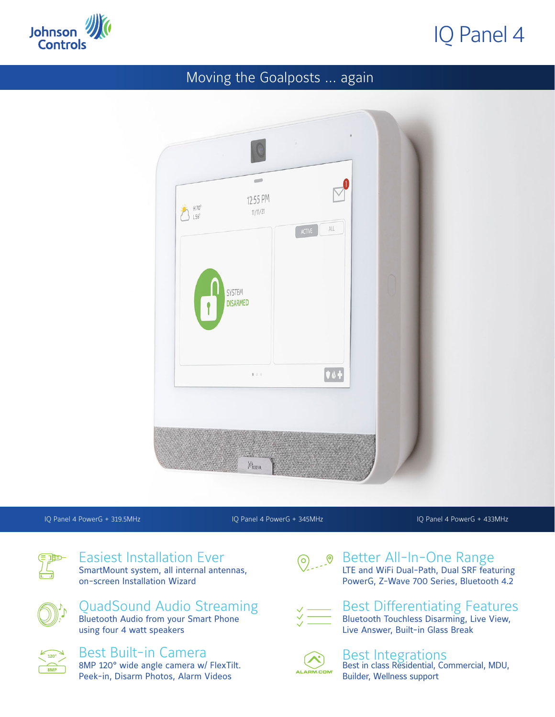

# IQ Panel 4

### Moving the Goalposts ... again

| J<br>党<br>$H70^\circ$<br>$L56^\circ$ | $\equiv$<br>12:55 PM               | $\mathsf{ALL}$<br>ACTIVE |  |
|--------------------------------------|------------------------------------|--------------------------|--|
|                                      | SYSTEM<br>DISARMED<br>$\mathbf{f}$ |                          |  |
|                                      | $\mathbf{r} \in \mathcal{S}$       | $\boxed{0.4}$            |  |
|                                      |                                    |                          |  |

IQ Panel 4 PowerG + 319.5MHz IQ Panel 4 PowerG + 345MHz IQ Panel 4 PowerG + 433MHz



Easiest Installation Ever SmartMount system, all internal antennas, on-screen Installation Wizard

QuadSound Audio Streaming Bluetooth Audio from your Smart Phone using four 4 watt speakers



#### Best Built-in Camera 8MP 120° wide angle camera w/ FlexTilt. Peek-in, Disarm Photos, Alarm Videos



#### **O** Petter All-In-One Range LTE and WiFi Dual-Path, Dual SRF featuring PowerG, Z-Wave 700 Series, Bluetooth 4.2



#### Best Differentiating Features Bluetooth Touchless Disarming, Live View, Live Answer, Built-in Glass Break



## Best Integrations

Best in class Residential, Commercial, MDU, Builder, Wellness support